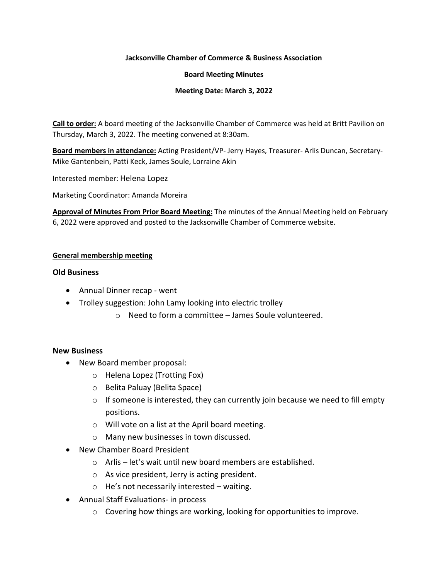### **Jacksonville Chamber of Commerce & Business Association**

### **Board Meeting Minutes**

## **Meeting Date: March 3, 2022**

**Call to order:** A board meeting of the Jacksonville Chamber of Commerce was held at Britt Pavilion on Thursday, March 3, 2022. The meeting convened at 8:30am.

**Board members in attendance:** Acting President/VP- Jerry Hayes, Treasurer- Arlis Duncan, Secretary-Mike Gantenbein, Patti Keck, James Soule, Lorraine Akin

Interested member: Helena Lopez

Marketing Coordinator: Amanda Moreira

**Approval of Minutes From Prior Board Meeting:** The minutes of the Annual Meeting held on February 6, 2022 were approved and posted to the Jacksonville Chamber of Commerce website.

# **General membership meeting**

## **Old Business**

- Annual Dinner recap went
- Trolley suggestion: John Lamy looking into electric trolley
	- o Need to form a committee James Soule volunteered.

# **New Business**

- New Board member proposal:
	- o Helena Lopez (Trotting Fox)
	- o Belita Paluay (Belita Space)
	- $\circ$  If someone is interested, they can currently join because we need to fill empty positions.
	- o Will vote on a list at the April board meeting.
	- o Many new businesses in town discussed.
- New Chamber Board President
	- o Arlis let's wait until new board members are established.
	- o As vice president, Jerry is acting president.
	- o He's not necessarily interested waiting.
- Annual Staff Evaluations- in process
	- $\circ$  Covering how things are working, looking for opportunities to improve.